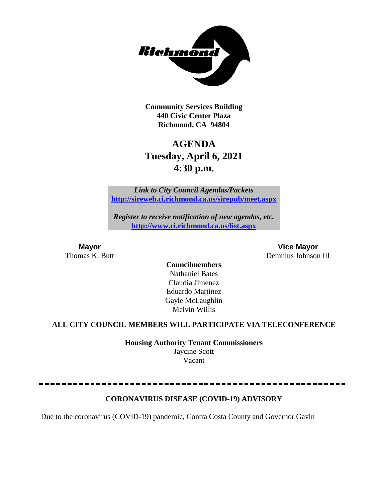

**Community Services Building 440 Civic Center Plaza Richmond, CA 94804**

# **AGENDA Tuesday, April 6, 2021 4:30 p.m.**

*Link to City Council Agendas/Packets* **<http://sireweb.ci.richmond.ca.us/sirepub/meet.aspx>**

*Register to receive notification of new agendas, etc.* **<http://www.ci.richmond.ca.us/list.aspx>**

**Mayor Vice Mayor** Thomas K. Butt Demnlus Johnson III

**Councilmembers** Nathaniel Bates Claudia Jimenez Eduardo Martinez Gayle McLaughlin Melvin Willis

#### **ALL CITY COUNCIL MEMBERS WILL PARTICIPATE VIA TELECONFERENCE**

**Housing Authority Tenant Commissioners** Jaycine Scott Vacant

# **CORONAVIRUS DISEASE (COVID-19) ADVISORY**

Due to the coronavirus (COVID-19) pandemic, Contra Costa County and Governor Gavin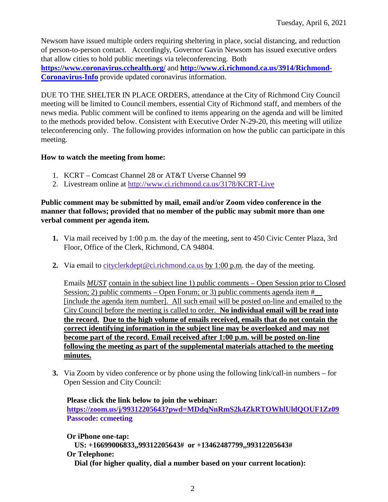Newsom have issued multiple orders requiring sheltering in place, social distancing, and reduction of person-to-person contact. Accordingly, Governor Gavin Newsom has issued executive orders that allow cities to hold public meetings via teleconferencing. Both **<https://www.coronavirus.cchealth.org/>** and **[http://www.ci.richmond.ca.us/3914/Richmond-](http://www.ci.richmond.ca.us/3914/Richmond-Coronavirus-Info)[Coronavirus-Info](http://www.ci.richmond.ca.us/3914/Richmond-Coronavirus-Info)** provide updated coronavirus information.

DUE TO THE SHELTER IN PLACE ORDERS, attendance at the City of Richmond City Council meeting will be limited to Council members, essential City of Richmond staff, and members of the news media. Public comment will be confined to items appearing on the agenda and will be limited to the methods provided below. Consistent with Executive Order N-29-20, this meeting will utilize teleconferencing only. The following provides information on how the public can participate in this meeting.

#### **How to watch the meeting from home:**

- 1. KCRT Comcast Channel 28 or AT&T Uverse Channel 99
- 2. Livestream online at<http://www.ci.richmond.ca.us/3178/KCRT-Live>

#### **Public comment may be submitted by mail, email and/or Zoom video conference in the manner that follows; provided that no member of the public may submit more than one verbal comment per agenda item.**

- **1.** Via mail received by 1:00 p.m. the day of the meeting, sent to 450 Civic Center Plaza, 3rd Floor, Office of the Clerk, Richmond, CA 94804.
- **2.** Via email to [cityclerkdept@ci.richmond.ca.us](mailto:cityclerkdept@ci.richmond.ca.us) by 1:00 p.m. the day of the meeting.

Emails *MUST* contain in the subject line 1) public comments – Open Session prior to Closed Session; 2) public comments – Open Forum; or 3) public comments agenda item  $#$ [include the agenda item number]. All such email will be posted on-line and emailed to the City Council before the meeting is called to order. **No individual email will be read into the record. Due to the high volume of emails received, emails that do not contain the correct identifying information in the subject line may be overlooked and may not become part of the record. Email received after 1:00 p.m. will be posted on-line following the meeting as part of the supplemental materials attached to the meeting minutes.**

**3.** Via Zoom by video conference or by phone using the following link/call-in numbers – for Open Session and City Council:

**Please click the link below to join the webinar: <https://zoom.us/j/99312205643?pwd=MDdqNnRmS2k4ZkRTOWhlUldQOUF1Zz09> Passcode: ccmeeting**

**Or iPhone one-tap: US: +16699006833,,99312205643# or +13462487799,,99312205643# Or Telephone: Dial (for higher quality, dial a number based on your current location):**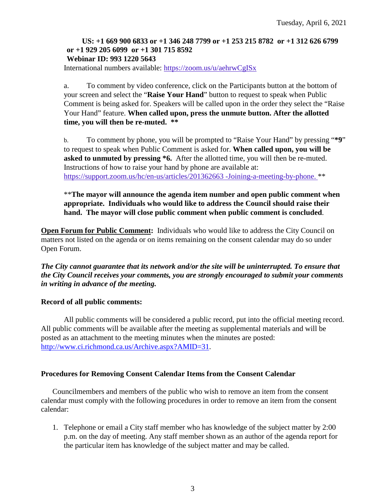#### **US: +1 669 900 6833 or +1 346 248 7799 or +1 253 215 8782 or +1 312 626 6799 or +1 929 205 6099 or +1 301 715 8592 Webinar ID: 993 1220 5643**

International numbers available: <https://zoom.us/u/aehrwCgISx>

a. To comment by video conference, click on the Participants button at the bottom of your screen and select the "**Raise Your Hand**" button to request to speak when Public Comment is being asked for. Speakers will be called upon in the order they select the "Raise Your Hand" feature. **When called upon, press the unmute button. After the allotted time, you will then be re-muted. \*\***

b. To comment by phone, you will be prompted to "Raise Your Hand" by pressing "**\*9**" to request to speak when Public Comment is asked for. **When called upon, you will be asked to unmuted by pressing \*6.** After the allotted time, you will then be re-muted. Instructions of how to raise your hand by phone are available at: [https://support.zoom.us/hc/en-us/articles/201362663 -Joining-a-meeting-by-phone.](https://support.zoom.us/hc/en-us/articles/201362663) \*\*

\*\***The mayor will announce the agenda item number and open public comment when appropriate. Individuals who would like to address the Council should raise their hand. The mayor will close public comment when public comment is concluded**.

**Open Forum for Public Comment:** Individuals who would like to address the City Council on matters not listed on the agenda or on items remaining on the consent calendar may do so under Open Forum.

*The City cannot guarantee that its network and/or the site will be uninterrupted. To ensure that the City Council receives your comments, you are strongly encouraged to submit your comments in writing in advance of the meeting.* 

#### **Record of all public comments:**

All public comments will be considered a public record, put into the official meeting record. All public comments will be available after the meeting as supplemental materials and will be posted as an attachment to the meeting minutes when the minutes are posted: [http://www.ci.richmond.ca.us/Archive.aspx?AMID=31.](http://www.ci.richmond.ca.us/Archive.aspx?AMID=31)

#### **Procedures for Removing Consent Calendar Items from the Consent Calendar**

Councilmembers and members of the public who wish to remove an item from the consent calendar must comply with the following procedures in order to remove an item from the consent calendar:

1. Telephone or email a City staff member who has knowledge of the subject matter by 2:00 p.m. on the day of meeting. Any staff member shown as an author of the agenda report for the particular item has knowledge of the subject matter and may be called.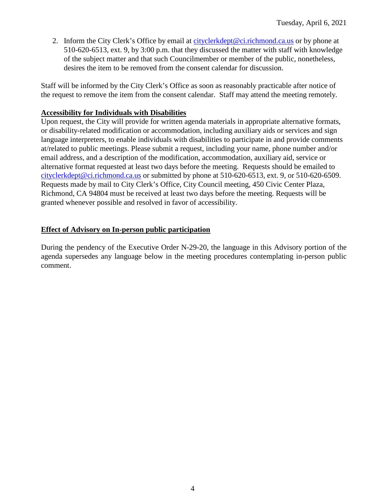2. Inform the City Clerk's Office by email at [cityclerkdept@ci.richmond.ca.us](mailto:cityclerkdept@ci.richmond.ca.us) or by phone at 510-620-6513, ext. 9, by 3:00 p.m. that they discussed the matter with staff with knowledge of the subject matter and that such Councilmember or member of the public, nonetheless, desires the item to be removed from the consent calendar for discussion.

Staff will be informed by the City Clerk's Office as soon as reasonably practicable after notice of the request to remove the item from the consent calendar. Staff may attend the meeting remotely.

#### **Accessibility for Individuals with Disabilities**

Upon request, the City will provide for written agenda materials in appropriate alternative formats, or disability-related modification or accommodation, including auxiliary aids or services and sign language interpreters, to enable individuals with disabilities to participate in and provide comments at/related to public meetings. Please submit a request, including your name, phone number and/or email address, and a description of the modification, accommodation, auxiliary aid, service or alternative format requested at least two days before the meeting. Requests should be emailed to [cityclerkdept@ci.richmond.ca.us](mailto:cityclerkdept@ci.richmond.ca.us) or submitted by phone at 510-620-6513, ext. 9, or 510-620-6509. Requests made by mail to City Clerk's Office, City Council meeting, 450 Civic Center Plaza, Richmond, CA 94804 must be received at least two days before the meeting. Requests will be granted whenever possible and resolved in favor of accessibility.

#### **Effect of Advisory on In-person public participation**

During the pendency of the Executive Order N-29-20, the language in this Advisory portion of the agenda supersedes any language below in the meeting procedures contemplating in-person public comment.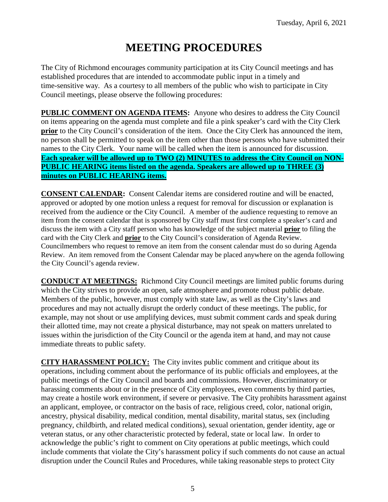# **MEETING PROCEDURES**

The City of Richmond encourages community participation at its City Council meetings and has established procedures that are intended to accommodate public input in a timely and time-sensitive way. As a courtesy to all members of the public who wish to participate in City Council meetings, please observe the following procedures:

**PUBLIC COMMENT ON AGENDA ITEMS:** Anyone who desires to address the City Council on items appearing on the agenda must complete and file a pink speaker's card with the City Clerk **prior** to the City Council's consideration of the item. Once the City Clerk has announced the item, no person shall be permitted to speak on the item other than those persons who have submitted their names to the City Clerk. Your name will be called when the item is announced for discussion. **Each speaker will be allowed up to TWO (2) MINUTES to address the City Council on NON-PUBLIC HEARING items listed on the agenda. Speakers are allowed up to THREE (3) minutes on PUBLIC HEARING items.**

**CONSENT CALENDAR:** Consent Calendar items are considered routine and will be enacted, approved or adopted by one motion unless a request for removal for discussion or explanation is received from the audience or the City Council. A member of the audience requesting to remove an item from the consent calendar that is sponsored by City staff must first complete a speaker's card and discuss the item with a City staff person who has knowledge of the subject material **prior** to filing the card with the City Clerk and **prior** to the City Council's consideration of Agenda Review. Councilmembers who request to remove an item from the consent calendar must do so during Agenda Review. An item removed from the Consent Calendar may be placed anywhere on the agenda following the City Council's agenda review.

**CONDUCT AT MEETINGS:** Richmond City Council meetings are limited public forums during which the City strives to provide an open, safe atmosphere and promote robust public debate. Members of the public, however, must comply with state law, as well as the City's laws and procedures and may not actually disrupt the orderly conduct of these meetings. The public, for example, may not shout or use amplifying devices, must submit comment cards and speak during their allotted time, may not create a physical disturbance, may not speak on matters unrelated to issues within the jurisdiction of the City Council or the agenda item at hand, and may not cause immediate threats to public safety.

**CITY HARASSMENT POLICY:** The City invites public comment and critique about its operations, including comment about the performance of its public officials and employees, at the public meetings of the City Council and boards and commissions. However, discriminatory or harassing comments about or in the presence of City employees, even comments by third parties, may create a hostile work environment, if severe or pervasive. The City prohibits harassment against an applicant, employee, or contractor on the basis of race, religious creed, color, national origin, ancestry, physical disability, medical condition, mental disability, marital status, sex (including pregnancy, childbirth, and related medical conditions), sexual orientation, gender identity, age or veteran status, or any other characteristic protected by federal, state or local law. In order to acknowledge the public's right to comment on City operations at public meetings, which could include comments that violate the City's harassment policy if such comments do not cause an actual disruption under the Council Rules and Procedures, while taking reasonable steps to protect City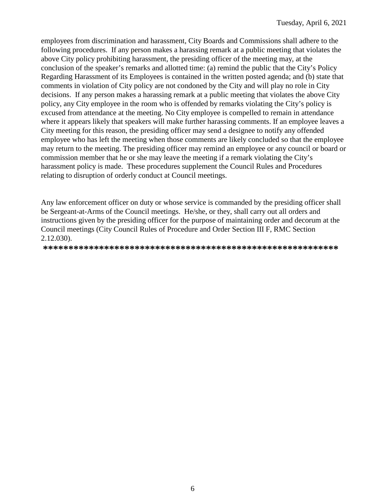employees from discrimination and harassment, City Boards and Commissions shall adhere to the following procedures. If any person makes a harassing remark at a public meeting that violates the above City policy prohibiting harassment, the presiding officer of the meeting may, at the conclusion of the speaker's remarks and allotted time: (a) remind the public that the City's Policy Regarding Harassment of its Employees is contained in the written posted agenda; and (b) state that comments in violation of City policy are not condoned by the City and will play no role in City decisions. If any person makes a harassing remark at a public meeting that violates the above City policy, any City employee in the room who is offended by remarks violating the City's policy is excused from attendance at the meeting. No City employee is compelled to remain in attendance where it appears likely that speakers will make further harassing comments. If an employee leaves a City meeting for this reason, the presiding officer may send a designee to notify any offended employee who has left the meeting when those comments are likely concluded so that the employee may return to the meeting. The presiding officer may remind an employee or any council or board or commission member that he or she may leave the meeting if a remark violating the City's harassment policy is made. These procedures supplement the Council Rules and Procedures relating to disruption of orderly conduct at Council meetings.

Any law enforcement officer on duty or whose service is commanded by the presiding officer shall be Sergeant-at-Arms of the Council meetings. He/she, or they, shall carry out all orders and instructions given by the presiding officer for the purpose of maintaining order and decorum at the Council meetings (City Council Rules of Procedure and Order Section III F, RMC Section 2.12.030).

**\*\*\*\*\*\*\*\*\*\*\*\*\*\*\*\*\*\*\*\*\*\*\*\*\*\*\*\*\*\*\*\*\*\*\*\*\*\*\*\*\*\*\*\*\*\*\*\*\*\*\*\*\*\*\*\*\*\***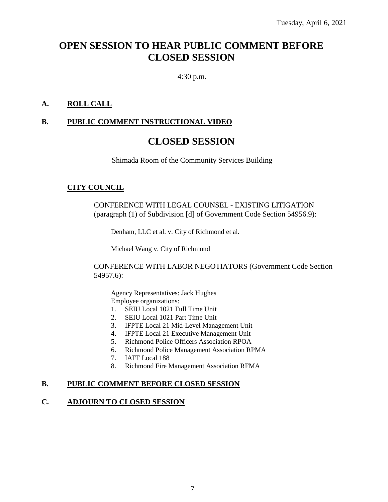# **OPEN SESSION TO HEAR PUBLIC COMMENT BEFORE CLOSED SESSION**

4:30 p.m.

# **A. ROLL CALL**

### **B. PUBLIC COMMENT INSTRUCTIONAL VIDEO**

# **CLOSED SESSION**

Shimada Room of the Community Services Building

#### **CITY COUNCIL**

CONFERENCE WITH LEGAL COUNSEL - EXISTING LITIGATION (paragraph (1) of Subdivision [d] of Government Code Section 54956.9):

Denham, LLC et al. v. City of Richmond et al.

Michael Wang v. City of Richmond

CONFERENCE WITH LABOR NEGOTIATORS (Government Code Section 54957.6):

Agency Representatives: Jack Hughes Employee organizations:

- 1. SEIU Local 1021 Full Time Unit
- 2. SEIU Local 1021 Part Time Unit
- 3. IFPTE Local 21 Mid-Level Management Unit
- 4. IFPTE Local 21 Executive Management Unit
- 5. Richmond Police Officers Association RPOA
- 6. Richmond Police Management Association RPMA
- 7. IAFF Local 188
- 8. Richmond Fire Management Association RFMA

#### **B. PUBLIC COMMENT BEFORE CLOSED SESSION**

#### **C. ADJOURN TO CLOSED SESSION**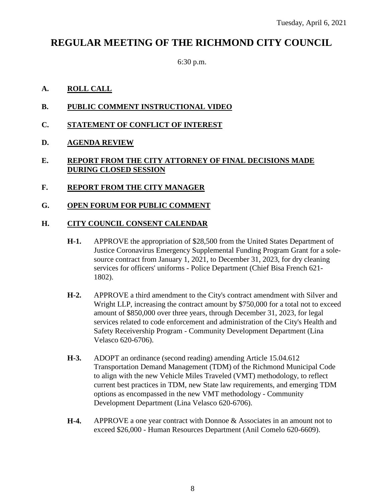# **REGULAR MEETING OF THE RICHMOND CITY COUNCIL**

6:30 p.m.

#### **A. ROLL CALL**

- **B. PUBLIC COMMENT INSTRUCTIONAL VIDEO**
- **C. STATEMENT OF CONFLICT OF INTEREST**
- **D. AGENDA REVIEW**

#### **E. REPORT FROM THE CITY ATTORNEY OF FINAL DECISIONS MADE DURING CLOSED SESSION**

**F. REPORT FROM THE CITY MANAGER**

#### **G. OPEN FORUM FOR PUBLIC COMMENT**

#### **H. CITY COUNCIL CONSENT CALENDAR**

- **H-1.** APPROVE the appropriation of \$28,500 from the United States Department of Justice Coronavirus Emergency Supplemental Funding Program Grant for a solesource contract from January 1, 2021, to December 31, 2023, for dry cleaning services for officers' uniforms - Police Department (Chief Bisa French 621- 1802).
- **H-2.** APPROVE a third amendment to the City's contract amendment with Silver and Wright LLP, increasing the contract amount by \$750,000 for a total not to exceed amount of \$850,000 over three years, through December 31, 2023, for legal services related to code enforcement and administration of the City's Health and Safety Receivership Program - Community Development Department (Lina Velasco 620-6706).
- **H-3.** ADOPT an ordinance (second reading) amending Article 15.04.612 Transportation Demand Management (TDM) of the Richmond Municipal Code to align with the new Vehicle Miles Traveled (VMT) methodology, to reflect current best practices in TDM, new State law requirements, and emerging TDM options as encompassed in the new VMT methodology - Community Development Department (Lina Velasco 620-6706).
- **H-4.** APPROVE a one year contract with Donnoe & Associates in an amount not to exceed \$26,000 - Human Resources Department (Anil Comelo 620-6609).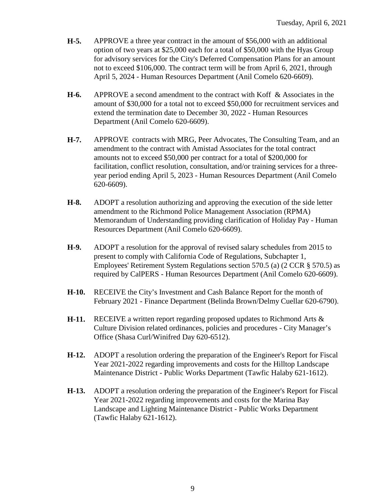- **H-5.** APPROVE a three year contract in the amount of \$56,000 with an additional option of two years at \$25,000 each for a total of \$50,000 with the Hyas Group for advisory services for the City's Deferred Compensation Plans for an amount not to exceed \$106,000. The contract term will be from April 6, 2021, through April 5, 2024 - Human Resources Department (Anil Comelo 620-6609).
- **H-6.** APPROVE a second amendment to the contract with Koff & Associates in the amount of \$30,000 for a total not to exceed \$50,000 for recruitment services and extend the termination date to December 30, 2022 - Human Resources Department (Anil Comelo 620-6609).
- **H-7.** APPROVE contracts with MRG, Peer Advocates, The Consulting Team, and an amendment to the contract with Amistad Associates for the total contract amounts not to exceed \$50,000 per contract for a total of \$200,000 for facilitation, conflict resolution, consultation, and/or training services for a threeyear period ending April 5, 2023 - Human Resources Department (Anil Comelo 620-6609).
- **H-8.** ADOPT a resolution authorizing and approving the execution of the side letter amendment to the Richmond Police Management Association (RPMA) Memorandum of Understanding providing clarification of Holiday Pay - Human Resources Department (Anil Comelo 620-6609).
- **H-9.** ADOPT a resolution for the approval of revised salary schedules from 2015 to present to comply with California Code of Regulations, Subchapter 1, Employees' Retirement System Regulations section 570.5 (a) (2 CCR § 570.5) as required by CalPERS - Human Resources Department (Anil Comelo 620-6609).
- **H-10.** RECEIVE the City's Investment and Cash Balance Report for the month of February 2021 - Finance Department (Belinda Brown/Delmy Cuellar 620-6790).
- **H-11.** RECEIVE a written report regarding proposed updates to Richmond Arts & Culture Division related ordinances, policies and procedures - City Manager's Office (Shasa Curl/Winifred Day 620-6512).
- **H-12.** ADOPT a resolution ordering the preparation of the Engineer's Report for Fiscal Year 2021-2022 regarding improvements and costs for the Hilltop Landscape Maintenance District - Public Works Department (Tawfic Halaby 621-1612).
- **H-13.** ADOPT a resolution ordering the preparation of the Engineer's Report for Fiscal Year 2021-2022 regarding improvements and costs for the Marina Bay Landscape and Lighting Maintenance District - Public Works Department (Tawfic Halaby 621-1612).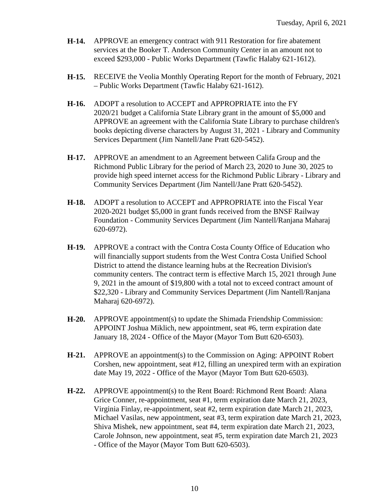- **H-14.** APPROVE an emergency contract with 911 Restoration for fire abatement services at the Booker T. Anderson Community Center in an amount not to exceed \$293,000 - Public Works Department (Tawfic Halaby 621-1612).
- **H-15.** RECEIVE the Veolia Monthly Operating Report for the month of February, 2021 – Public Works Department (Tawfic Halaby 621-1612).
- **H-16.** ADOPT a resolution to ACCEPT and APPROPRIATE into the FY 2020/21 budget a California State Library grant in the amount of \$5,000 and APPROVE an agreement with the California State Library to purchase children's books depicting diverse characters by August 31, 2021 - Library and Community Services Department (Jim Nantell/Jane Pratt 620-5452).
- **H-17.** APPROVE an amendment to an Agreement between Califa Group and the Richmond Public Library for the period of March 23, 2020 to June 30, 2025 to provide high speed internet access for the Richmond Public Library - Library and Community Services Department (Jim Nantell/Jane Pratt 620-5452).
- **H-18.** ADOPT a resolution to ACCEPT and APPROPRIATE into the Fiscal Year 2020-2021 budget \$5,000 in grant funds received from the BNSF Railway Foundation - Community Services Department (Jim Nantell/Ranjana Maharaj 620-6972).
- **H-19.** APPROVE a contract with the Contra Costa County Office of Education who will financially support students from the West Contra Costa Unified School District to attend the distance learning hubs at the Recreation Division's community centers. The contract term is effective March 15, 2021 through June 9, 2021 in the amount of \$19,800 with a total not to exceed contract amount of \$22,320 - Library and Community Services Department (Jim Nantell/Ranjana Maharaj 620-6972).
- **H-20.** APPROVE appointment(s) to update the Shimada Friendship Commission: APPOINT Joshua Miklich, new appointment, seat #6, term expiration date January 18, 2024 - Office of the Mayor (Mayor Tom Butt 620-6503).
- **H-21.** APPROVE an appointment(s) to the Commission on Aging: APPOINT Robert Corshen, new appointment, seat #12, filling an unexpired term with an expiration date May 19, 2022 - Office of the Mayor (Mayor Tom Butt 620-6503).
- **H-22.** APPROVE appointment(s) to the Rent Board: Richmond Rent Board: Alana Grice Conner, re-appointment, seat #1, term expiration date March 21, 2023, Virginia Finlay, re-appointment, seat #2, term expiration date March 21, 2023, Michael Vasilas, new appointment, seat #3, term expiration date March 21, 2023, Shiva Mishek, new appointment, seat #4, term expiration date March 21, 2023, Carole Johnson, new appointment, seat #5, term expiration date March 21, 2023 - Office of the Mayor (Mayor Tom Butt 620-6503).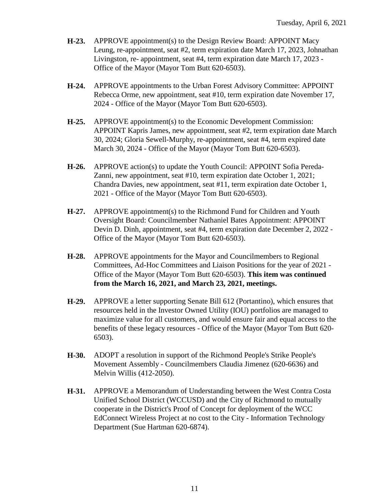- **H-23.** APPROVE appointment(s) to the Design Review Board: APPOINT Macy Leung, re-appointment, seat #2, term expiration date March 17, 2023, Johnathan Livingston, re- appointment, seat #4, term expiration date March 17, 2023 - Office of the Mayor (Mayor Tom Butt 620-6503).
- **H-24.** APPROVE appointments to the Urban Forest Advisory Committee: APPOINT Rebecca Orme, new appointment, seat #10, term expiration date November 17, 2024 - Office of the Mayor (Mayor Tom Butt 620-6503).
- **H-25.** APPROVE appointment(s) to the Economic Development Commission: APPOINT Kapris James, new appointment, seat #2, term expiration date March 30, 2024; Gloria Sewell-Murphy, re-appointment, seat #4, term expired date March 30, 2024 - Office of the Mayor (Mayor Tom Butt 620-6503).
- **H-26.** APPROVE action(s) to update the Youth Council: APPOINT Sofia Pereda-Zanni, new appointment, seat #10, term expiration date October 1, 2021; Chandra Davies, new appointment, seat #11, term expiration date October 1, 2021 - Office of the Mayor (Mayor Tom Butt 620-6503).
- **H-27.** APPROVE appointment(s) to the Richmond Fund for Children and Youth Oversight Board: Councilmember Nathaniel Bates Appointment: APPOINT Devin D. Dinh, appointment, seat #4, term expiration date December 2, 2022 - Office of the Mayor (Mayor Tom Butt 620-6503).
- **H-28.** APPROVE appointments for the Mayor and Councilmembers to Regional Committees, Ad-Hoc Committees and Liaison Positions for the year of 2021 - Office of the Mayor (Mayor Tom Butt 620-6503). **This item was continued from the March 16, 2021, and March 23, 2021, meetings.**
- **H-29.** APPROVE a letter supporting Senate Bill 612 (Portantino), which ensures that resources held in the Investor Owned Utility (IOU) portfolios are managed to maximize value for all customers, and would ensure fair and equal access to the benefits of these legacy resources - Office of the Mayor (Mayor Tom Butt 620- 6503).
- **H-30.** ADOPT a resolution in support of the Richmond People's Strike People's Movement Assembly - Councilmembers Claudia Jimenez (620-6636) and Melvin Willis (412-2050).
- **H-31.** APPROVE a Memorandum of Understanding between the West Contra Costa Unified School District (WCCUSD) and the City of Richmond to mutually cooperate in the District's Proof of Concept for deployment of the WCC EdConnect Wireless Project at no cost to the City - Information Technology Department (Sue Hartman 620-6874).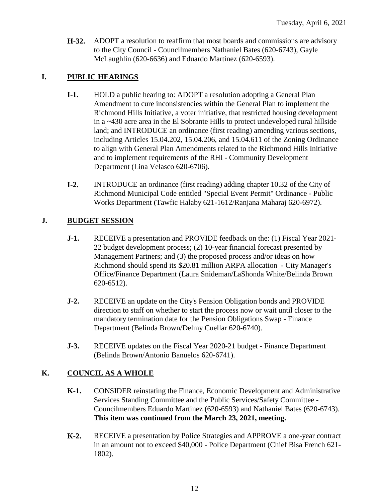**H-32.** ADOPT a resolution to reaffirm that most boards and commissions are advisory to the City Council - Councilmembers Nathaniel Bates (620-6743), Gayle McLaughlin (620-6636) and Eduardo Martinez (620-6593).

## **I. PUBLIC HEARINGS**

- **I-1.** HOLD a public hearing to: ADOPT a resolution adopting a General Plan Amendment to cure inconsistencies within the General Plan to implement the Richmond Hills Initiative, a voter initiative, that restricted housing development in a ~430 acre area in the El Sobrante Hills to protect undeveloped rural hillside land; and INTRODUCE an ordinance (first reading) amending various sections, including Articles 15.04.202, 15.04.206, and 15.04.611 of the Zoning Ordinance to align with General Plan Amendments related to the Richmond Hills Initiative and to implement requirements of the RHI - Community Development Department (Lina Velasco 620-6706).
- **I-2.** INTRODUCE an ordinance (first reading) adding chapter 10.32 of the City of Richmond Municipal Code entitled "Special Event Permit" Ordinance - Public Works Department (Tawfic Halaby 621-1612/Ranjana Maharaj 620-6972).

# **J. BUDGET SESSION**

- **J-1.** RECEIVE a presentation and PROVIDE feedback on the: (1) Fiscal Year 2021- 22 budget development process; (2) 10-year financial forecast presented by Management Partners; and (3) the proposed process and/or ideas on how Richmond should spend its \$20.81 million ARPA allocation - City Manager's Office/Finance Department (Laura Snideman/LaShonda White/Belinda Brown 620-6512).
- **J-2.** RECEIVE an update on the City's Pension Obligation bonds and PROVIDE direction to staff on whether to start the process now or wait until closer to the mandatory termination date for the Pension Obligations Swap - Finance Department (Belinda Brown/Delmy Cuellar 620-6740).
- **J-3.** RECEIVE updates on the Fiscal Year 2020-21 budget Finance Department (Belinda Brown/Antonio Banuelos 620-6741).

## **K. COUNCIL AS A WHOLE**

- **K-1.** CONSIDER reinstating the Finance, Economic Development and Administrative Services Standing Committee and the Public Services/Safety Committee - Councilmembers Eduardo Martinez (620-6593) and Nathaniel Bates (620-6743). **This item was continued from the March 23, 2021, meeting.**
- **K-2.** RECEIVE a presentation by Police Strategies and APPROVE a one-year contract in an amount not to exceed \$40,000 - Police Department (Chief Bisa French 621- 1802).